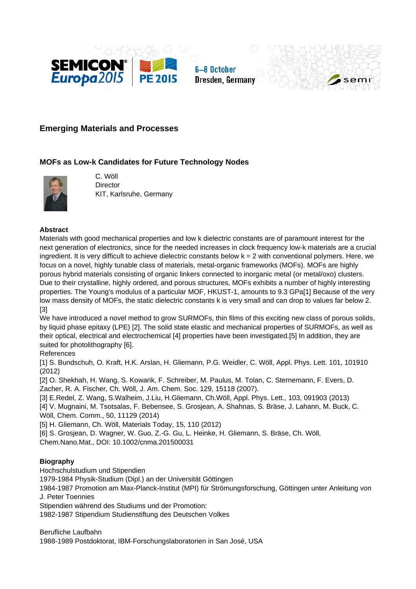





# **Emerging Materials and Processes**

# **MOFs as Low-k Candidates for Future Technology Nodes**



C. Wöll **Director** KIT, Karlsruhe, Germany

#### **Abstract**

Materials with good mechanical properties and low k dielectric constants are of paramount interest for the next generation of electronics, since for the needed increases in clock frequency low-k materials are a crucial ingredient. It is very difficult to achieve dielectric constants below k = 2 with conventional polymers. Here, we focus on a novel, highly tunable class of materials, metal-organic frameworks (MOFs). MOFs are highly porous hybrid materials consisting of organic linkers connected to inorganic metal (or metal/oxo) clusters. Due to their crystalline, highly ordered, and porous structures, MOFs exhibits a number of highly interesting properties. The Young's modulus of a particular MOF, HKUST-1, amounts to 9.3 GPa[1] Because of the very low mass density of MOFs, the static dielectric constants k is very small and can drop to values far below 2. [3]

We have introduced a novel method to grow SURMOFs, thin films of this exciting new class of porous solids, by liquid phase epitaxy (LPE) [2]. The solid state elastic and mechanical properties of SURMOFs, as well as their optical, electrical and electrochemical [4] properties have been investigated.[5] In addition, they are suited for photolithography [6].

## References

[1] S. Bundschuh, O. Kraft, H.K. Arslan, H. Gliemann, P.G. Weidler, C. Wöll, Appl. Phys. Lett. 101, 101910 (2012)

[2] O. Shekhah, H. Wang, S. Kowarik, F. Schreiber, M. Paulus, M. Tolan, C. Sternemann, F. Evers, D. Zacher, R. A. Fischer, Ch. Wöll, J. Am. Chem. Soc. 129, 15118 (2007).

[3] E.Redel, Z. Wang, S.Walheim, J.Liu, H.Gliemann, Ch.Wöll, Appl. Phys. Lett., 103, 091903 (2013)

[4] V. Mugnaini, M. Tsotsalas, F. Bebensee, S. Grosjean, A. Shahnas, S. Bräse, J. Lahann, M. Buck, C. Wöll, Chem. Comm., 50, 11129 (2014)

[5] H. Gliemann, Ch. Wöll, Materials Today, 15, 110 (2012)

[6] S. Grosjean, D. Wagner, W. Guo, Z.-G. Gu, L. Heinke, H. Gliemann, S. Bräse, Ch. Wöll, Chem.Nano.Mat., DOI: 10.1002/cnma.201500031

# **Biography**

Hochschulstudium und Stipendien

1979-1984 Physik-Studium (Dipl.) an der Universität Göttingen

1984-1987 Promotion am Max-Planck-Institut (MPI) für Strömungsforschung, Göttingen unter Anleitung von J. Peter Toennies

Stipendien während des Studiums und der Promotion:

1982-1987 Stipendium Studienstiftung des Deutschen Volkes

Berufliche Laufbahn 1988-1989 Postdoktorat, IBM-Forschungslaboratorien in San José, USA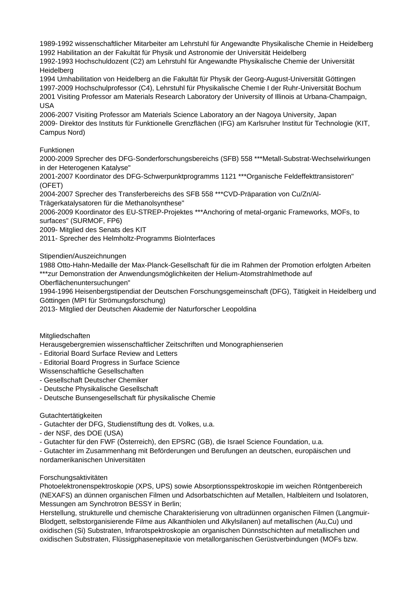1989-1992 wissenschaftlicher Mitarbeiter am Lehrstuhl für Angewandte Physikalische Chemie in Heidelberg 1992 Habilitation an der Fakultät für Physik und Astronomie der Universität Heidelberg

1992-1993 Hochschuldozent (C2) am Lehrstuhl für Angewandte Physikalische Chemie der Universität Heidelberg

1994 Umhabilitation von Heidelberg an die Fakultät für Physik der Georg-August-Universität Göttingen 1997-2009 Hochschulprofessor (C4), Lehrstuhl für Physikalische Chemie I der Ruhr-Universität Bochum 2001 Visiting Professor am Materials Research Laboratory der University of Illinois at Urbana-Champaign, USA

2006-2007 Visiting Professor am Materials Science Laboratory an der Nagoya University, Japan 2009- Direktor des Instituts für Funktionelle Grenzflächen (IFG) am Karlsruher Institut für Technologie (KIT, Campus Nord)

# Funktionen

2000-2009 Sprecher des DFG-Sonderforschungsbereichs (SFB) 558 \*\*\*Metall-Substrat-Wechselwirkungen in der Heterogenen Katalyse"

2001-2007 Koordinator des DFG-Schwerpunktprogramms 1121 \*\*\*Organische Feldeffekttransistoren" (OFET)

2004-2007 Sprecher des Transferbereichs des SFB 558 \*\*\*CVD-Präparation von Cu/Zn/Al-Trägerkatalysatoren für die Methanolsynthese"

2006-2009 Koordinator des EU-STREP-Projektes \*\*\*Anchoring of metal-organic Frameworks, MOFs, to surfaces" (SURMOF, FP6)

2009- Mitglied des Senats des KIT

2011- Sprecher des Helmholtz-Programms BioInterfaces

Stipendien/Auszeichnungen

1988 Otto-Hahn-Medaille der Max-Planck-Gesellschaft für die im Rahmen der Promotion erfolgten Arbeiten \*\*\*zur Demonstration der Anwendungsmöglichkeiten der Helium-Atomstrahlmethode auf

Oberflächenuntersuchungen"

1994-1996 Heisenbergstipendiat der Deutschen Forschungsgemeinschaft (DFG), Tätigkeit in Heidelberg und Göttingen (MPI für Strömungsforschung)

2013- Mitglied der Deutschen Akademie der Naturforscher Leopoldina

**Mitgliedschaften** 

Herausgebergremien wissenschaftlicher Zeitschriften und Monographienserien

- Editorial Board Surface Review and Letters
- Editorial Board Progress in Surface Science
- Wissenschaftliche Gesellschaften
- Gesellschaft Deutscher Chemiker
- Deutsche Physikalische Gesellschaft
- Deutsche Bunsengesellschaft für physikalische Chemie

## Gutachtertätigkeiten

- Gutachter der DFG, Studienstiftung des dt. Volkes, u.a.
- der NSF, des DOE (USA)
- Gutachter für den FWF (Österreich), den EPSRC (GB), die Israel Science Foundation, u.a.

- Gutachter im Zusammenhang mit Beförderungen und Berufungen an deutschen, europäischen und nordamerikanischen Universitäten

## Forschungsaktivitäten

Photoelektronenspektroskopie (XPS, UPS) sowie Absorptionsspektroskopie im weichen Röntgenbereich (NEXAFS) an dünnen organischen Filmen und Adsorbatschichten auf Metallen, Halbleitern und Isolatoren, Messungen am Synchrotron BESSY in Berlin;

Herstellung, strukturelle und chemische Charakterisierung von ultradünnen organischen Filmen (Langmuir-Blodgett, selbstorganisierende Filme aus Alkanthiolen und Alkylsilanen) auf metallischen (Au,Cu) und oxidischen (Si) Substraten, Infrarotspektroskopie an organischen Dünnstschichten auf metallischen und oxidischen Substraten, Flüssigphasenepitaxie von metallorganischen Gerüstverbindungen (MOFs bzw.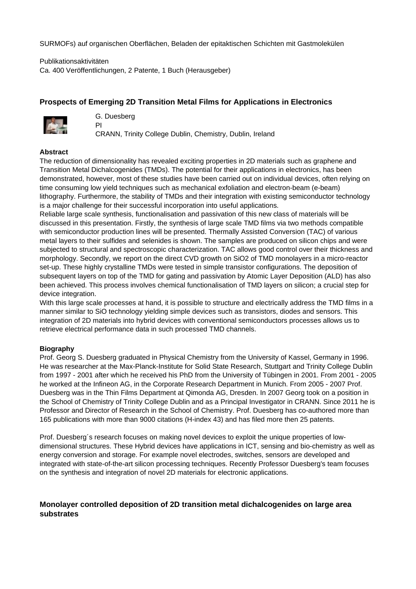SURMOFs) auf organischen Oberflächen, Beladen der epitaktischen Schichten mit Gastmolekülen

Publikationsaktivitäten Ca. 400 Veröffentlichungen, 2 Patente, 1 Buch (Herausgeber)

# **Prospects of Emerging 2D Transition Metal Films for Applications in Electronics**



G. Duesberg

PI

CRANN, Trinity College Dublin, Chemistry, Dublin, Ireland

## **Abstract**

The reduction of dimensionality has revealed exciting properties in 2D materials such as graphene and Transition Metal Dichalcogenides (TMDs). The potential for their applications in electronics, has been demonstrated, however, most of these studies have been carried out on individual devices, often relying on time consuming low yield techniques such as mechanical exfoliation and electron-beam (e-beam) lithography. Furthermore, the stability of TMDs and their integration with existing semiconductor technology is a major challenge for their successful incorporation into useful applications.

Reliable large scale synthesis, functionalisation and passivation of this new class of materials will be discussed in this presentation. Firstly, the synthesis of large scale TMD films via two methods compatible with semiconductor production lines will be presented. Thermally Assisted Conversion (TAC) of various metal layers to their sulfides and selenides is shown. The samples are produced on silicon chips and were subjected to structural and spectroscopic characterization. TAC allows good control over their thickness and morphology. Secondly, we report on the direct CVD growth on SiO2 of TMD monolayers in a micro-reactor set-up. These highly crystalline TMDs were tested in simple transistor configurations. The deposition of subsequent layers on top of the TMD for gating and passivation by Atomic Layer Deposition (ALD) has also been achieved. This process involves chemical functionalisation of TMD layers on silicon; a crucial step for device integration.

With this large scale processes at hand, it is possible to structure and electrically address the TMD films in a manner similar to SiO technology yielding simple devices such as transistors, diodes and sensors. This integration of 2D materials into hybrid devices with conventional semiconductors processes allows us to retrieve electrical performance data in such processed TMD channels.

## **Biography**

Prof. Georg S. Duesberg graduated in Physical Chemistry from the University of Kassel, Germany in 1996. He was researcher at the Max-Planck-Institute for Solid State Research, Stuttgart and Trinity College Dublin from 1997 - 2001 after which he received his PhD from the University of Tübingen in 2001. From 2001 - 2005 he worked at the Infineon AG, in the Corporate Research Department in Munich. From 2005 - 2007 Prof. Duesberg was in the Thin Films Department at Qimonda AG, Dresden. In 2007 Georg took on a position in the School of Chemistry of Trinity College Dublin and as a Principal Investigator in CRANN. Since 2011 he is Professor and Director of Research in the School of Chemistry. Prof. Duesberg has co-authored more than 165 publications with more than 9000 citations (H-index 43) and has filed more then 25 patents.

Prof. Duesberg´s research focuses on making novel devices to exploit the unique properties of lowdimensional structures. These Hybrid devices have applications in ICT, sensing and bio-chemistry as well as energy conversion and storage. For example novel electrodes, switches, sensors are developed and integrated with state-of-the-art silicon processing techniques. Recently Professor Duesberg's team focuses on the synthesis and integration of novel 2D materials for electronic applications.

# **Monolayer controlled deposition of 2D transition metal dichalcogenides on large area substrates**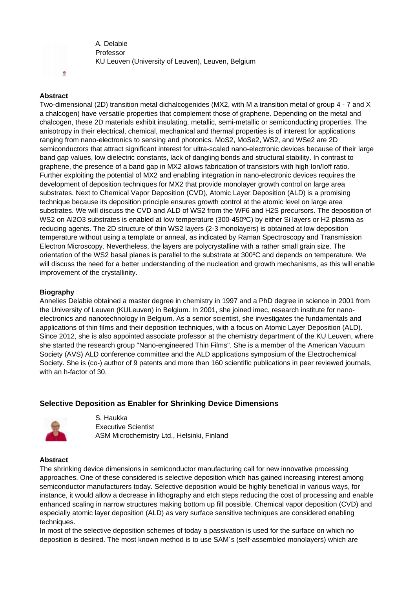A. Delabie Professor KU Leuven (University of Leuven), Leuven, Belgium

#### **Abstract**

ż

Two-dimensional (2D) transition metal dichalcogenides (MX2, with M a transition metal of group 4 - 7 and X a chalcogen) have versatile properties that complement those of graphene. Depending on the metal and chalcogen, these 2D materials exhibit insulating, metallic, semi-metallic or semiconducting properties. The anisotropy in their electrical, chemical, mechanical and thermal properties is of interest for applications ranging from nano-electronics to sensing and photonics. MoS2, MoSe2, WS2, and WSe2 are 2D semiconductors that attract significant interest for ultra-scaled nano-electronic devices because of their large band gap values, low dielectric constants, lack of dangling bonds and structural stability. In contrast to graphene, the presence of a band gap in MX2 allows fabrication of transistors with high Ion/Ioff ratio. Further exploiting the potential of MX2 and enabling integration in nano-electronic devices requires the development of deposition techniques for MX2 that provide monolayer growth control on large area substrates. Next to Chemical Vapor Deposition (CVD), Atomic Layer Deposition (ALD) is a promising technique because its deposition principle ensures growth control at the atomic level on large area substrates. We will discuss the CVD and ALD of WS2 from the WF6 and H2S precursors. The deposition of WS2 on Al2O3 substrates is enabled at low temperature (300-450°C) by either Si layers or H2 plasma as reducing agents. The 2D structure of thin WS2 layers (2-3 monolayers) is obtained at low deposition temperature without using a template or anneal, as indicated by Raman Spectroscopy and Transmission Electron Microscopy. Nevertheless, the layers are polycrystalline with a rather small grain size. The orientation of the WS2 basal planes is parallel to the substrate at 300ºC and depends on temperature. We will discuss the need for a better understanding of the nucleation and growth mechanisms, as this will enable improvement of the crystallinity.

#### **Biography**

Annelies Delabie obtained a master degree in chemistry in 1997 and a PhD degree in science in 2001 from the University of Leuven (KULeuven) in Belgium. In 2001, she joined imec, research institute for nanoelectronics and nanotechnology in Belgium. As a senior scientist, she investigates the fundamentals and applications of thin films and their deposition techniques, with a focus on Atomic Layer Deposition (ALD). Since 2012, she is also appointed associate professor at the chemistry department of the KU Leuven, where she started the research group "Nano-engineered Thin Films". She is a member of the American Vacuum Society (AVS) ALD conference committee and the ALD applications symposium of the Electrochemical Society. She is (co-) author of 9 patents and more than 160 scientific publications in peer reviewed journals, with an h-factor of 30.

## **Selective Deposition as Enabler for Shrinking Device Dimensions**



S. Haukka Executive Scientist ASM Microchemistry Ltd., Helsinki, Finland

#### **Abstract**

The shrinking device dimensions in semiconductor manufacturing call for new innovative processing approaches. One of these considered is selective deposition which has gained increasing interest among semiconductor manufacturers today. Selective deposition would be highly beneficial in various ways, for instance, it would allow a decrease in lithography and etch steps reducing the cost of processing and enable enhanced scaling in narrow structures making bottom up fill possible. Chemical vapor deposition (CVD) and especially atomic layer deposition (ALD) as very surface sensitive techniques are considered enabling techniques.

In most of the selective deposition schemes of today a passivation is used for the surface on which no deposition is desired. The most known method is to use SAM´s (self-assembled monolayers) which are